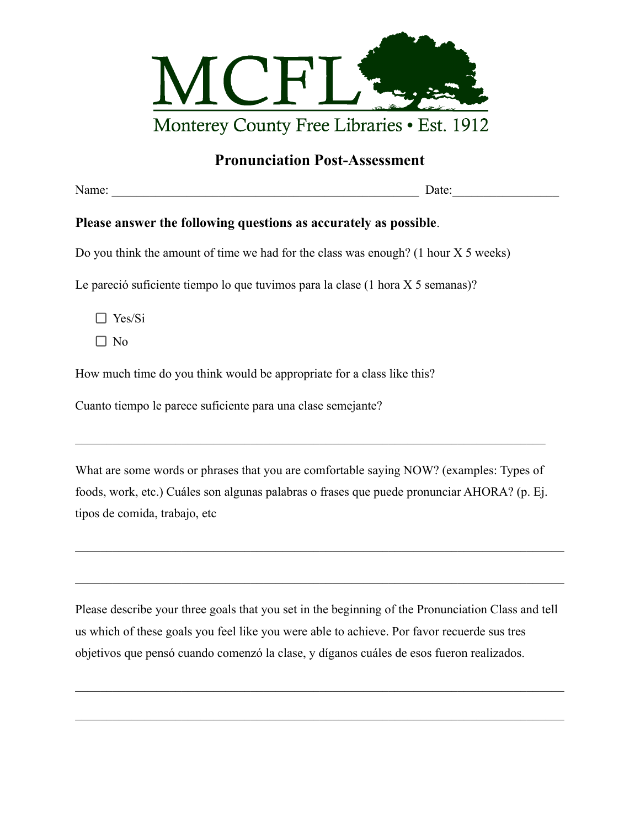

## **Pronunciation Post-Assessment**

Date:

## **Please answer the following questions as accurately as possible**.

Do you think the amount of time we had for the class was enough? (1 hour X 5 weeks)

Le pareció suficiente tiempo lo que tuvimos para la clase (1 hora X 5 semanas)?

Yes/Si

 $\Box$  No

How much time do you think would be appropriate for a class like this?

Cuanto tiempo le parece suficiente para una clase semejante?

What are some words or phrases that you are comfortable saying NOW? (examples: Types of foods, work, etc.) Cuáles son algunas palabras o frases que puede pronunciar AHORA? (p. Ej. tipos de comida, trabajo, etc

 $\mathcal{L}_\mathcal{L} = \{ \mathcal{L}_\mathcal{L} = \{ \mathcal{L}_\mathcal{L} = \{ \mathcal{L}_\mathcal{L} = \{ \mathcal{L}_\mathcal{L} = \{ \mathcal{L}_\mathcal{L} = \{ \mathcal{L}_\mathcal{L} = \{ \mathcal{L}_\mathcal{L} = \{ \mathcal{L}_\mathcal{L} = \{ \mathcal{L}_\mathcal{L} = \{ \mathcal{L}_\mathcal{L} = \{ \mathcal{L}_\mathcal{L} = \{ \mathcal{L}_\mathcal{L} = \{ \mathcal{L}_\mathcal{L} = \{ \mathcal{L}_\mathcal{$ 

 $\mathcal{L}_\mathcal{L} = \{ \mathcal{L}_\mathcal{L} = \{ \mathcal{L}_\mathcal{L} = \{ \mathcal{L}_\mathcal{L} = \{ \mathcal{L}_\mathcal{L} = \{ \mathcal{L}_\mathcal{L} = \{ \mathcal{L}_\mathcal{L} = \{ \mathcal{L}_\mathcal{L} = \{ \mathcal{L}_\mathcal{L} = \{ \mathcal{L}_\mathcal{L} = \{ \mathcal{L}_\mathcal{L} = \{ \mathcal{L}_\mathcal{L} = \{ \mathcal{L}_\mathcal{L} = \{ \mathcal{L}_\mathcal{L} = \{ \mathcal{L}_\mathcal{$ 

 $\mathcal{L}_\text{max} = \frac{1}{2} \sum_{i=1}^n \mathcal{L}_\text{max}(\mathbf{z}_i - \mathbf{z}_i)$ 

Please describe your three goals that you set in the beginning of the Pronunciation Class and tell us which of these goals you feel like you were able to achieve. Por favor recuerde sus tres objetivos que pensó cuando comenzó la clase, y díganos cuáles de esos fueron realizados.

 $\mathcal{L}_\mathcal{L} = \{ \mathcal{L}_\mathcal{L} = \{ \mathcal{L}_\mathcal{L} = \{ \mathcal{L}_\mathcal{L} = \{ \mathcal{L}_\mathcal{L} = \{ \mathcal{L}_\mathcal{L} = \{ \mathcal{L}_\mathcal{L} = \{ \mathcal{L}_\mathcal{L} = \{ \mathcal{L}_\mathcal{L} = \{ \mathcal{L}_\mathcal{L} = \{ \mathcal{L}_\mathcal{L} = \{ \mathcal{L}_\mathcal{L} = \{ \mathcal{L}_\mathcal{L} = \{ \mathcal{L}_\mathcal{L} = \{ \mathcal{L}_\mathcal{$ 

 $\mathcal{L}_\text{max}$  , and the contribution of the contribution of the contribution of the contribution of the contribution of the contribution of the contribution of the contribution of the contribution of the contribution of t